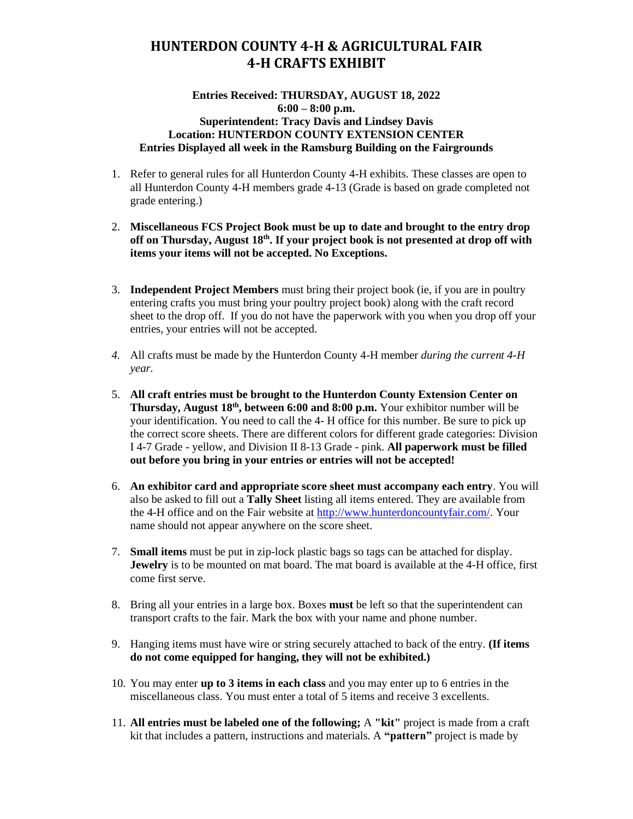### **HUNTERDON COUNTY 4-H & AGRICULTURAL FAIR 4-H CRAFTS EXHIBIT**

#### **Entries Received: THURSDAY, AUGUST 18, 2022 6:00 – 8:00 p.m. Superintendent: Tracy Davis and Lindsey Davis Location: HUNTERDON COUNTY EXTENSION CENTER Entries Displayed all week in the Ramsburg Building on the Fairgrounds**

- 1. Refer to general rules for all Hunterdon County 4-H exhibits. These classes are open to all Hunterdon County 4-H members grade 4-13 (Grade is based on grade completed not grade entering.)
- 2. **Miscellaneous FCS Project Book must be up to date and brought to the entry drop off on Thursday, August 18 th. If your project book is not presented at drop off with items your items will not be accepted. No Exceptions.**
- 3. **Independent Project Members** must bring their project book (ie, if you are in poultry entering crafts you must bring your poultry project book) along with the craft record sheet to the drop off. If you do not have the paperwork with you when you drop off your entries, your entries will not be accepted.
- *4.* All crafts must be made by the Hunterdon County 4-H member *during the current 4-H year.*
- 5. **All craft entries must be brought to the Hunterdon County Extension Center on Thursday, August 18<sup>th</sup>, between 6:00 and 8:00 p.m.** Your exhibitor number will be your identification. You need to call the 4- H office for this number. Be sure to pick up the correct score sheets. There are different colors for different grade categories: Division I 4-7 Grade - yellow, and Division II 8-13 Grade - pink. **All paperwork must be filled out before you bring in your entries or entries will not be accepted!**
- 6. **An exhibitor card and appropriate score sheet must accompany each entry**. You will also be asked to fill out a **Tally Sheet** listing all items entered. They are available from the 4-H office and on the Fair website at [http://www.hunterdoncountyfair.com/.](http://www.hunterdoncountyfair.com/) Your name should not appear anywhere on the score sheet.
- 7. **Small items** must be put in zip-lock plastic bags so tags can be attached for display. **Jewelry** is to be mounted on mat board. The mat board is available at the 4-H office, first come first serve.
- 8. Bring all your entries in a large box. Boxes **must** be left so that the superintendent can transport crafts to the fair. Mark the box with your name and phone number.
- 9. Hanging items must have wire or string securely attached to back of the entry. **(If items do not come equipped for hanging, they will not be exhibited.)**
- 10. You may enter **up to 3 items in each class** and you may enter up to 6 entries in the miscellaneous class. You must enter a total of 5 items and receive 3 excellents.
- 11. **All entries must be labeled one of the following;** A **"kit"** project is made from a craft kit that includes a pattern, instructions and materials. A **"pattern"** project is made by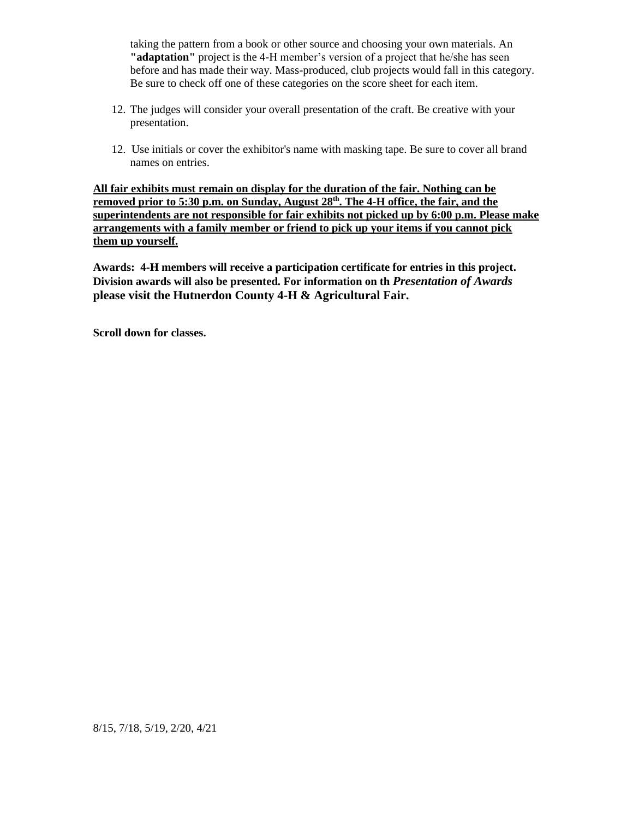taking the pattern from a book or other source and choosing your own materials. An **"adaptation"** project is the 4-H member's version of a project that he/she has seen before and has made their way. Mass-produced, club projects would fall in this category. Be sure to check off one of these categories on the score sheet for each item.

- 12. The judges will consider your overall presentation of the craft. Be creative with your presentation.
- 12. Use initials or cover the exhibitor's name with masking tape. Be sure to cover all brand names on entries.

**All fair exhibits must remain on display for the duration of the fair. Nothing can be**  removed prior to 5:30 p.m. on Sunday, August 28<sup>th</sup>. The 4-H office, the fair, and the **superintendents are not responsible for fair exhibits not picked up by 6:00 p.m. Please make arrangements with a family member or friend to pick up your items if you cannot pick them up yourself.** 

**Awards: 4-H members will receive a participation certificate for entries in this project. Division awards will also be presented. For information on th** *Presentation of Awards*  **please visit the Hutnerdon County 4-H & Agricultural Fair.**

**Scroll down for classes.**